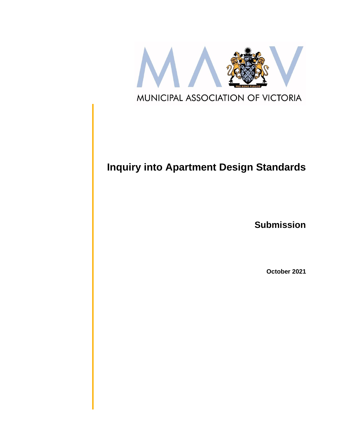

# **Inquiry into Apartment Design Standards**

**Submission**

**October 2021**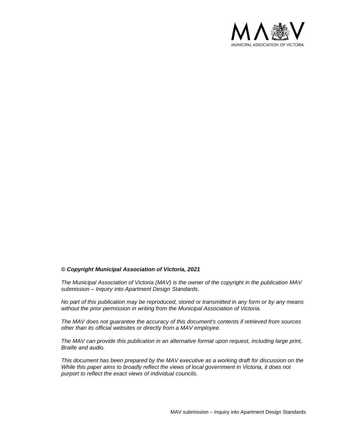

#### *© Copyright Municipal Association of Victoria, 2021*

*The Municipal Association of Victoria (MAV) is the owner of the copyright in the publication MAV submission – Inquiry into Apartment Design Standards.* 

*No part of this publication may be reproduced, stored or transmitted in any form or by any means without the prior permission in writing from the Municipal Association of Victoria.* 

*The MAV does not guarantee the accuracy of this document's contents if retrieved from sources other than its official websites or directly from a MAV employee.*

*The MAV can provide this publication in an alternative format upon request, including large print, Braille and audio.* 

*This document has been prepared by the MAV executive as a working draft for discussion on the While this paper aims to broadly reflect the views of local government in Victoria, it does not purport to reflect the exact views of individual councils.*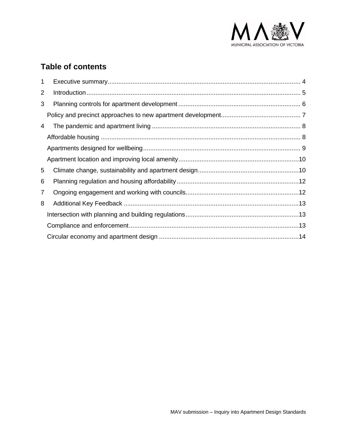

# **Table of contents**

| $\mathbf 1$    |  |
|----------------|--|
| $\overline{2}$ |  |
| 3              |  |
|                |  |
| 4              |  |
|                |  |
|                |  |
|                |  |
| 5              |  |
| 6              |  |
| 7              |  |
| 8              |  |
|                |  |
|                |  |
|                |  |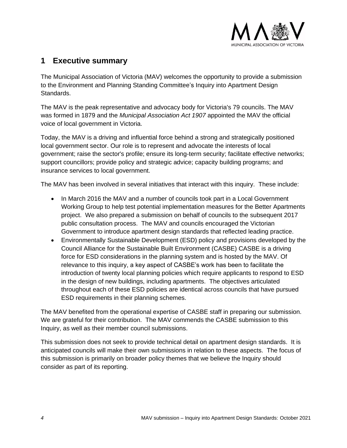

### <span id="page-3-0"></span>**1 Executive summary**

The Municipal Association of Victoria (MAV) welcomes the opportunity to provide a submission to the Environment and Planning Standing Committee's Inquiry into Apartment Design Standards.

The MAV is the peak representative and advocacy body for Victoria's 79 councils. The MAV was formed in 1879 and the *Municipal Association Act 1907* appointed the MAV the official voice of local government in Victoria.

Today, the MAV is a driving and influential force behind a strong and strategically positioned local government sector. Our role is to represent and advocate the interests of local government; raise the sector's profile; ensure its long-term security; facilitate effective networks; support councillors; provide policy and strategic advice; capacity building programs; and insurance services to local government.

The MAV has been involved in several initiatives that interact with this inquiry. These include:

- In March 2016 the MAV and a number of councils took part in a Local Government Working Group to help test potential implementation measures for the Better Apartments project. We also prepared a submission on behalf of councils to the subsequent 2017 public consultation process. The MAV and councils encouraged the Victorian Government to introduce apartment design standards that reflected leading practice.
- Environmentally Sustainable Development (ESD) policy and provisions developed by the Council Alliance for the Sustainable Built Environment (CASBE) CASBE is a driving force for ESD considerations in the planning system and is hosted by the MAV. Of relevance to this inquiry, a key aspect of CASBE's work has been to facilitate the introduction of twenty local planning policies which require applicants to respond to ESD in the design of new buildings, including apartments. The objectives articulated throughout each of these ESD policies are identical across councils that have pursued ESD requirements in their planning schemes.

The MAV benefited from the operational expertise of CASBE staff in preparing our submission. We are grateful for their contribution. The MAV commends the CASBE submission to this Inquiry, as well as their member council submissions.

This submission does not seek to provide technical detail on apartment design standards. It is anticipated councils will make their own submissions in relation to these aspects. The focus of this submission is primarily on broader policy themes that we believe the Inquiry should consider as part of its reporting.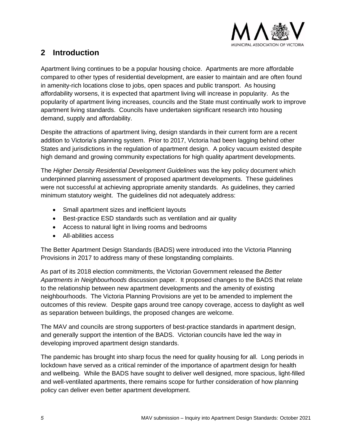

### <span id="page-4-0"></span>**2 Introduction**

Apartment living continues to be a popular housing choice. Apartments are more affordable compared to other types of residential development, are easier to maintain and are often found in amenity-rich locations close to jobs, open spaces and public transport. As housing affordability worsens, it is expected that apartment living will increase in popularity. As the popularity of apartment living increases, councils and the State must continually work to improve apartment living standards. Councils have undertaken significant research into housing demand, supply and affordability.

Despite the attractions of apartment living, design standards in their current form are a recent addition to Victoria's planning system. Prior to 2017, Victoria had been lagging behind other States and jurisdictions in the regulation of apartment design. A policy vacuum existed despite high demand and growing community expectations for high quality apartment developments.

The *Higher Density Residential Development Guidelines* was the key policy document which underpinned planning assessment of proposed apartment developments. These guidelines were not successful at achieving appropriate amenity standards. As guidelines, they carried minimum statutory weight. The guidelines did not adequately address:

- Small apartment sizes and inefficient layouts
- Best-practice ESD standards such as ventilation and air quality
- Access to natural light in living rooms and bedrooms
- All-abilities access

The Better Apartment Design Standards (BADS) were introduced into the Victoria Planning Provisions in 2017 to address many of these longstanding complaints.

As part of its 2018 election commitments, the Victorian Government released the *Better Apartments in Neighbourhoods* discussion paper. It proposed changes to the BADS that relate to the relationship between new apartment developments and the amenity of existing neighbourhoods. The Victoria Planning Provisions are yet to be amended to implement the outcomes of this review. Despite gaps around tree canopy coverage, access to daylight as well as separation between buildings, the proposed changes are welcome.

The MAV and councils are strong supporters of best-practice standards in apartment design, and generally support the intention of the BADS. Victorian councils have led the way in developing improved apartment design standards.

The pandemic has brought into sharp focus the need for quality housing for all. Long periods in lockdown have served as a critical reminder of the importance of apartment design for health and wellbeing. While the BADS have sought to deliver well designed, more spacious, light-filled and well-ventilated apartments, there remains scope for further consideration of how planning policy can deliver even better apartment development.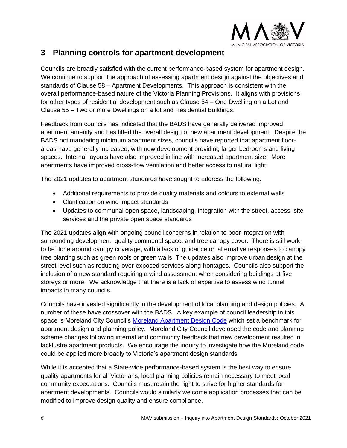

### <span id="page-5-0"></span>**3 Planning controls for apartment development**

Councils are broadly satisfied with the current performance-based system for apartment design. We continue to support the approach of assessing apartment design against the objectives and standards of Clause 58 – Apartment Developments. This approach is consistent with the overall performance-based nature of the Victoria Planning Provisions. It aligns with provisions for other types of residential development such as Clause 54 – One Dwelling on a Lot and Clause 55 – Two or more Dwellings on a lot and Residential Buildings.

Feedback from councils has indicated that the BADS have generally delivered improved apartment amenity and has lifted the overall design of new apartment development. Despite the BADS not mandating minimum apartment sizes, councils have reported that apartment floorareas have generally increased, with new development providing larger bedrooms and living spaces. Internal layouts have also improved in line with increased apartment size. More apartments have improved cross-flow ventilation and better access to natural light.

The 2021 updates to apartment standards have sought to address the following:

- Additional requirements to provide quality materials and colours to external walls
- Clarification on wind impact standards
- Updates to communal open space, landscaping, integration with the street, access, site services and the private open space standards

The 2021 updates align with ongoing council concerns in relation to poor integration with surrounding development, quality communal space, and tree canopy cover. There is still work to be done around canopy coverage, with a lack of guidance on alternative responses to canopy tree planting such as green roofs or green walls. The updates also improve urban design at the street level such as reducing over-exposed services along frontages. Councils also support the inclusion of a new standard requiring a wind assessment when considering buildings at five storeys or more. We acknowledge that there is a lack of expertise to assess wind tunnel impacts in many councils.

Councils have invested significantly in the development of local planning and design policies. A number of these have crossover with the BADS. A key example of council leadership in this space is Moreland City Council's [Moreland Apartment Design Code](https://www.moreland.vic.gov.au/building-and-business/planning-and-building/strategic-planning/strategic-planning-projects/designing-buildings-and-spaces-in-moreland/) which set a benchmark for apartment design and planning policy. Moreland City Council developed the code and planning scheme changes following internal and community feedback that new development resulted in lacklustre apartment products. We encourage the inquiry to investigate how the Moreland code could be applied more broadly to Victoria's apartment design standards.

While it is accepted that a State-wide performance-based system is the best way to ensure quality apartments for all Victorians, local planning policies remain necessary to meet local community expectations. Councils must retain the right to strive for higher standards for apartment developments. Councils would similarly welcome application processes that can be modified to improve design quality and ensure compliance.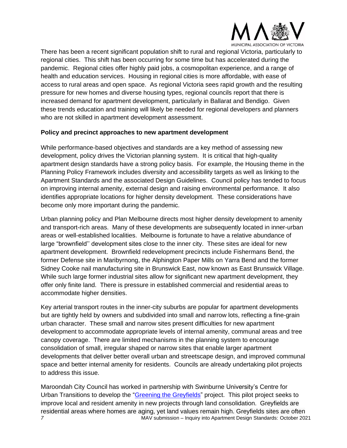

There has been a recent significant population shift to rural and regional Victoria, particularly to regional cities. This shift has been occurring for some time but has accelerated during the pandemic. Regional cities offer highly paid jobs, a cosmopolitan experience, and a range of health and education services. Housing in regional cities is more affordable, with ease of access to rural areas and open space. As regional Victoria sees rapid growth and the resulting pressure for new homes and diverse housing types, regional councils report that there is increased demand for apartment development, particularly in Ballarat and Bendigo. Given these trends education and training will likely be needed for regional developers and planners who are not skilled in apartment development assessment.

#### <span id="page-6-0"></span>**Policy and precinct approaches to new apartment development**

While performance-based objectives and standards are a key method of assessing new development, policy drives the Victorian planning system. It is critical that high-quality apartment design standards have a strong policy basis. For example, the Housing theme in the Planning Policy Framework includes diversity and accessibility targets as well as linking to the Apartment Standards and the associated Design Guidelines. Council policy has tended to focus on improving internal amenity, external design and raising environmental performance. It also identifies appropriate locations for higher density development. These considerations have become only more important during the pandemic.

Urban planning policy and Plan Melbourne directs most higher density development to amenity and transport-rich areas. Many of these developments are subsequently located in inner-urban areas or well-established localities. Melbourne is fortunate to have a relative abundance of large "brownfield'' development sites close to the inner city. These sites are ideal for new apartment development. Brownfield redevelopment precincts include Fishermans Bend, the former Defense site in Maribyrnong, the Alphington Paper Mills on Yarra Bend and the former Sidney Cooke nail manufacturing site in Brunswick East, now known as East Brunswick Village. While such large former industrial sites allow for significant new apartment development, they offer only finite land. There is pressure in established commercial and residential areas to accommodate higher densities.

Key arterial transport routes in the inner-city suburbs are popular for apartment developments but are tightly held by owners and subdivided into small and narrow lots, reflecting a fine-grain urban character. These small and narrow sites present difficulties for new apartment development to accommodate appropriate levels of internal amenity, communal areas and tree canopy coverage. There are limited mechanisms in the planning system to encourage consolidation of small, irregular shaped or narrow sites that enable larger apartment developments that deliver better overall urban and streetscape design, and improved communal space and better internal amenity for residents. Councils are already undertaking pilot projects to address this issue.

*7* MAV submission – Inquiry into Apartment Design Standards: October 2021 Maroondah City Council has worked in partnership with Swinburne University's Centre for Urban Transitions to develop the ["Greening the Greyfields"](https://yoursay.maroondah.vic.gov.au/gtg) project. This pilot project seeks to improve local and resident amenity in new projects through land consolidation. Greyfields are residential areas where homes are aging, yet land values remain high. Greyfields sites are often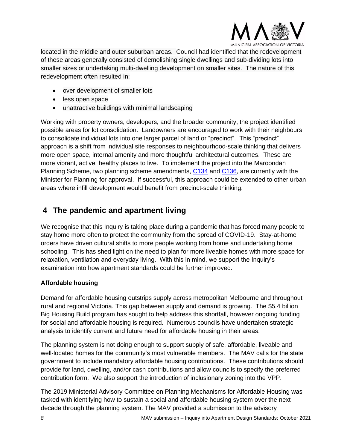

located in the middle and outer suburban areas. Council had identified that the redevelopment of these areas generally consisted of demolishing single dwellings and sub-dividing lots into smaller sizes or undertaking multi-dwelling development on smaller sites. The nature of this redevelopment often resulted in:

- over development of smaller lots
- less open space
- unattractive buildings with minimal landscaping

Working with property owners, developers, and the broader community, the project identified possible areas for lot consolidation. Landowners are encouraged to work with their neighbours to consolidate individual lots into one larger parcel of land or "precinct". This "precinct" approach is a shift from individual site responses to neighbourhood-scale thinking that delivers more open space, internal amenity and more thoughtful architectural outcomes. These are more vibrant, active, healthy places to live. To implement the project into the Maroondah Planning Scheme, two planning scheme amendments, [C134](https://yoursay.maroondah.vic.gov.au/c134maro-ringwood) and [C136,](https://yoursay.maroondah.vic.gov.au/c136-croydon-south) are currently with the Minister for Planning for approval. If successful, this approach could be extended to other urban areas where infill development would benefit from precinct-scale thinking.

# <span id="page-7-0"></span>**4 The pandemic and apartment living**

We recognise that this Inquiry is taking place during a pandemic that has forced many people to stay home more often to protect the community from the spread of COVID-19. Stay-at-home orders have driven cultural shifts to more people working from home and undertaking home schooling. This has shed light on the need to plan for more liveable homes with more space for relaxation, ventilation and everyday living. With this in mind, we support the Inquiry's examination into how apartment standards could be further improved.

#### <span id="page-7-1"></span>**Affordable housing**

Demand for affordable housing outstrips supply across metropolitan Melbourne and throughout rural and regional Victoria. This gap between supply and demand is growing. The \$5.4 billion Big Housing Build program has sought to help address this shortfall, however ongoing funding for social and affordable housing is required. Numerous councils have undertaken strategic analysis to identify current and future need for affordable housing in their areas.

The planning system is not doing enough to support supply of safe, affordable, liveable and well-located homes for the community's most vulnerable members. The MAV calls for the state government to include mandatory affordable housing contributions. These contributions should provide for land, dwelling, and/or cash contributions and allow councils to specify the preferred contribution form. We also support the introduction of inclusionary zoning into the VPP.

The 2019 Ministerial Advisory Committee on Planning Mechanisms for Affordable Housing was tasked with identifying how to sustain a social and affordable housing system over the next decade through the planning system. The MAV provided a submission to the advisory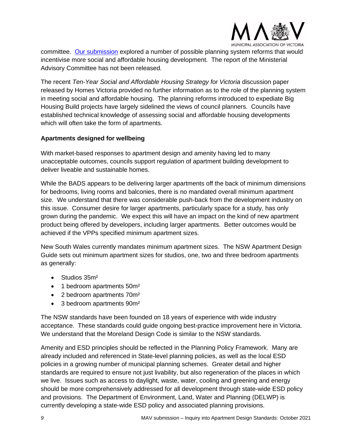

committee. [Our submission](https://www.mav.asn.au/__data/assets/pdf_file/0005/23846/Submission-to-MAC-on-Planning-Mechanisms-for-Affordable-Housing.pdf) explored a number of possible planning system reforms that would incentivise more social and affordable housing development. The report of the Ministerial Advisory Committee has not been released.

The recent *Ten-Year Social and Affordable Housing Strategy for Victoria* discussion paper released by Homes Victoria provided no further information as to the role of the planning system in meeting social and affordable housing. The planning reforms introduced to expediate Big Housing Build projects have largely sidelined the views of council planners. Councils have established technical knowledge of assessing social and affordable housing developments which will often take the form of apartments.

#### <span id="page-8-0"></span>**Apartments designed for wellbeing**

With market-based responses to apartment design and amenity having led to many unacceptable outcomes, councils support regulation of apartment building development to deliver liveable and sustainable homes.

While the BADS appears to be delivering larger apartments off the back of minimum dimensions for bedrooms, living rooms and balconies, there is no mandated overall minimum apartment size. We understand that there was considerable push-back from the development industry on this issue. Consumer desire for larger apartments, particularly space for a study, has only grown during the pandemic. We expect this will have an impact on the kind of new apartment product being offered by developers, including larger apartments. Better outcomes would be achieved if the VPPs specified minimum apartment sizes.

New South Wales currently mandates minimum apartment sizes. The NSW Apartment Design Guide sets out minimum apartment sizes for studios, one, two and three bedroom apartments as generally:

- Studios 35m<sup>2</sup>
- 1 bedroom apartments 50m<sup>2</sup>
- 2 bedroom apartments 70m²
- 3 bedroom apartments 90m²

The NSW standards have been founded on 18 years of experience with wide industry acceptance. These standards could guide ongoing best-practice improvement here in Victoria. We understand that the Moreland Design Code is similar to the NSW standards.

Amenity and ESD principles should be reflected in the Planning Policy Framework. Many are already included and referenced in State-level planning policies, as well as the local ESD policies in a growing number of municipal planning schemes. Greater detail and higher standards are required to ensure not just livability, but also regeneration of the places in which we live. Issues such as access to daylight, waste, water, cooling and greening and energy should be more comprehensively addressed for all development through state-wide ESD policy and provisions. The Department of Environment, Land, Water and Planning (DELWP) is currently developing a state-wide ESD policy and associated planning provisions.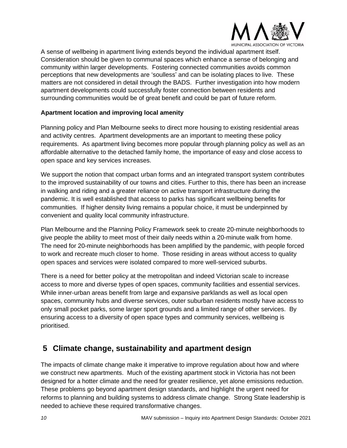

A sense of wellbeing in apartment living extends beyond the individual apartment itself. Consideration should be given to communal spaces which enhance a sense of belonging and community within larger developments. Fostering connected communities avoids common perceptions that new developments are 'soulless' and can be isolating places to live. These matters are not considered in detail through the BADS. Further investigation into how modern apartment developments could successfully foster connection between residents and surrounding communities would be of great benefit and could be part of future reform.

#### <span id="page-9-0"></span>**Apartment location and improving local amenity**

Planning policy and Plan Melbourne seeks to direct more housing to existing residential areas and activity centres. Apartment developments are an important to meeting these policy requirements. As apartment living becomes more popular through planning policy as well as an affordable alternative to the detached family home, the importance of easy and close access to open space and key services increases.

We support the notion that compact urban forms and an integrated transport system contributes to the improved sustainability of our towns and cities. Further to this, there has been an increase in walking and riding and a greater reliance on active transport infrastructure during the pandemic. It is well established that access to parks has significant wellbeing benefits for communities. If higher density living remains a popular choice, it must be underpinned by convenient and quality local community infrastructure.

Plan Melbourne and the Planning Policy Framework seek to create 20-minute neighborhoods to give people the ability to meet most of their daily needs within a 20-minute walk from home. The need for 20-minute neighborhoods has been amplified by the pandemic, with people forced to work and recreate much closer to home. Those residing in areas without access to quality open spaces and services were isolated compared to more well-serviced suburbs.

There is a need for better policy at the metropolitan and indeed Victorian scale to increase access to more and diverse types of open spaces, community facilities and essential services. While inner-urban areas benefit from large and expansive parklands as well as local open spaces, community hubs and diverse services, outer suburban residents mostly have access to only small pocket parks, some larger sport grounds and a limited range of other services. By ensuring access to a diversity of open space types and community services, wellbeing is prioritised.

### <span id="page-9-1"></span>**5 Climate change, sustainability and apartment design**

The impacts of climate change make it imperative to improve regulation about how and where we construct new apartments. Much of the existing apartment stock in Victoria has not been designed for a hotter climate and the need for greater resilience, yet alone emissions reduction. These problems go beyond apartment design standards, and highlight the urgent need for reforms to planning and building systems to address climate change. Strong State leadership is needed to achieve these required transformative changes.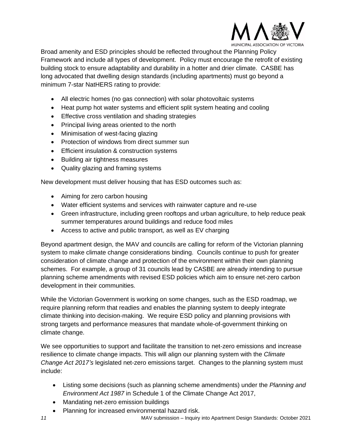

Broad amenity and ESD principles should be reflected throughout the Planning Policy Framework and include all types of development. Policy must encourage the retrofit of existing building stock to ensure adaptability and durability in a hotter and drier climate. CASBE has long advocated that dwelling design standards (including apartments) must go beyond a minimum 7-star NatHERS rating to provide:

- All electric homes (no gas connection) with solar photovoltaic systems
- Heat pump hot water systems and efficient split system heating and cooling
- Effective cross ventilation and shading strategies
- Principal living areas oriented to the north
- Minimisation of west-facing glazing
- Protection of windows from direct summer sun
- Efficient insulation & construction systems
- Building air tightness measures
- Quality glazing and framing systems

New development must deliver housing that has ESD outcomes such as:

- Aiming for zero carbon housing
- Water efficient systems and services with rainwater capture and re-use
- Green infrastructure, including green rooftops and urban agriculture, to help reduce peak summer temperatures around buildings and reduce food miles
- Access to active and public transport, as well as EV charging

Beyond apartment design, the MAV and councils are calling for reform of the Victorian planning system to make climate change considerations binding. Councils continue to push for greater consideration of climate change and protection of the environment within their own planning schemes. For example, a group of 31 councils lead by CASBE are already intending to pursue planning scheme amendments with revised ESD policies which aim to ensure net-zero carbon development in their communities.

While the Victorian Government is working on some changes, such as the ESD roadmap, we require planning reform that readies and enables the planning system to deeply integrate climate thinking into decision-making. We require ESD policy and planning provisions with strong targets and performance measures that mandate whole-of-government thinking on climate change.

We see opportunities to support and facilitate the transition to net-zero emissions and increase resilience to climate change impacts. This will align our planning system with the *Climate Change Act 2017's* legislated net-zero emissions target. Changes to the planning system must include:

- Listing some decisions (such as planning scheme amendments) under the *Planning and Environment Act 1987* in Schedule 1 of the Climate Change Act 2017,
- Mandating net-zero emission buildings
- Planning for increased environmental hazard risk.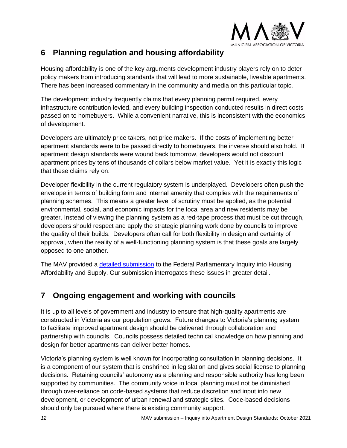

# <span id="page-11-0"></span>**6 Planning regulation and housing affordability**

Housing affordability is one of the key arguments development industry players rely on to deter policy makers from introducing standards that will lead to more sustainable, liveable apartments. There has been increased commentary in the community and media on this particular topic.

The development industry frequently claims that every planning permit required, every infrastructure contribution levied, and every building inspection conducted results in direct costs passed on to homebuyers. While a convenient narrative, this is inconsistent with the economics of development.

Developers are ultimately price takers, not price makers. If the costs of implementing better apartment standards were to be passed directly to homebuyers, the inverse should also hold. If apartment design standards were wound back tomorrow, developers would not discount apartment prices by tens of thousands of dollars below market value. Yet it is exactly this logic that these claims rely on.

Developer flexibility in the current regulatory system is underplayed. Developers often push the envelope in terms of building form and internal amenity that complies with the requirements of planning schemes. This means a greater level of scrutiny must be applied, as the potential environmental, social, and economic impacts for the local area and new residents may be greater. Instead of viewing the planning system as a red-tape process that must be cut through, developers should respect and apply the strategic planning work done by councils to improve the quality of their builds. Developers often call for both flexibility in design and certainty of approval, when the reality of a well-functioning planning system is that these goals are largely opposed to one another.

The MAV provided a [detailed submission](https://www.mav.asn.au/__data/assets/pdf_file/0010/28468/MAV-Submission-Parliamentary-inquiry-into-housing-supply-and-affordability.pdf) to the Federal Parliamentary Inquiry into Housing Affordability and Supply. Our submission interrogates these issues in greater detail.

## <span id="page-11-1"></span>**7 Ongoing engagement and working with councils**

It is up to all levels of government and industry to ensure that high-quality apartments are constructed in Victoria as our population grows. Future changes to Victoria's planning system to facilitate improved apartment design should be delivered through collaboration and partnership with councils. Councils possess detailed technical knowledge on how planning and design for better apartments can deliver better homes.

Victoria's planning system is well known for incorporating consultation in planning decisions. It is a component of our system that is enshrined in legislation and gives social license to planning decisions. Retaining councils' autonomy as a planning and responsible authority has long been supported by communities. The community voice in local planning must not be diminished through over-reliance on code-based systems that reduce discretion and input into new development, or development of urban renewal and strategic sites. Code-based decisions should only be pursued where there is existing community support.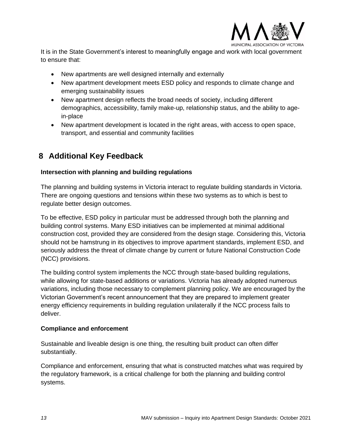

It is in the State Government's interest to meaningfully engage and work with local government to ensure that:

- New apartments are well designed internally and externally
- New apartment development meets ESD policy and responds to climate change and emerging sustainability issues
- New apartment design reflects the broad needs of society, including different demographics, accessibility, family make-up, relationship status, and the ability to agein-place
- New apartment development is located in the right areas, with access to open space, transport, and essential and community facilities

## <span id="page-12-0"></span>**8 Additional Key Feedback**

#### <span id="page-12-1"></span>**Intersection with planning and building regulations**

The planning and building systems in Victoria interact to regulate building standards in Victoria. There are ongoing questions and tensions within these two systems as to which is best to regulate better design outcomes.

To be effective, ESD policy in particular must be addressed through both the planning and building control systems. Many ESD initiatives can be implemented at minimal additional construction cost, provided they are considered from the design stage. Considering this, Victoria should not be hamstrung in its objectives to improve apartment standards, implement ESD, and seriously address the threat of climate change by current or future National Construction Code (NCC) provisions.

The building control system implements the NCC through state-based building regulations, while allowing for state-based additions or variations. Victoria has already adopted numerous variations, including those necessary to complement planning policy. We are encouraged by the Victorian Government's recent announcement that they are prepared to implement greater energy efficiency requirements in building regulation unilaterally if the NCC process fails to deliver.

#### <span id="page-12-2"></span>**Compliance and enforcement**

Sustainable and liveable design is one thing, the resulting built product can often differ substantially.

Compliance and enforcement, ensuring that what is constructed matches what was required by the regulatory framework, is a critical challenge for both the planning and building control systems.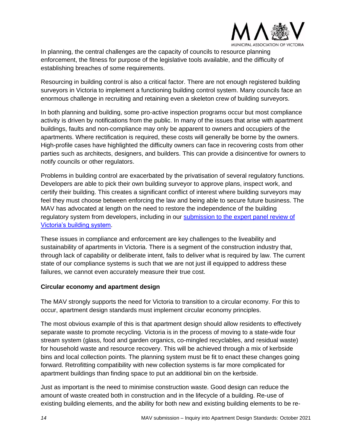

In planning, the central challenges are the capacity of councils to resource planning enforcement, the fitness for purpose of the legislative tools available, and the difficulty of establishing breaches of some requirements.

Resourcing in building control is also a critical factor. There are not enough registered building surveyors in Victoria to implement a functioning building control system. Many councils face an enormous challenge in recruiting and retaining even a skeleton crew of building surveyors.

In both planning and building, some pro-active inspection programs occur but most compliance activity is driven by notifications from the public. In many of the issues that arise with apartment buildings, faults and non-compliance may only be apparent to owners and occupiers of the apartments. Where rectification is required, these costs will generally be borne by the owners. High-profile cases have highlighted the difficulty owners can face in recovering costs from other parties such as architects, designers, and builders. This can provide a disincentive for owners to notify councils or other regulators.

Problems in building control are exacerbated by the privatisation of several regulatory functions. Developers are able to pick their own building surveyor to approve plans, inspect work, and certify their building. This creates a significant conflict of interest where building surveyors may feel they must choose between enforcing the law and being able to secure future business. The MAV has advocated at length on the need to restore the independence of the building regulatory system from developers, including in our submission to the expert panel review of [Victoria's building system.](https://www.mav.asn.au/__data/assets/pdf_file/0009/27693/MAV-submission-Framework-for-Reform-building-system-review.pdf)

These issues in compliance and enforcement are key challenges to the liveability and sustainability of apartments in Victoria. There is a segment of the construction industry that, through lack of capability or deliberate intent, fails to deliver what is required by law. The current state of our compliance systems is such that we are not just ill equipped to address these failures, we cannot even accurately measure their true cost.

#### <span id="page-13-0"></span>**Circular economy and apartment design**

The MAV strongly supports the need for Victoria to transition to a circular economy. For this to occur, apartment design standards must implement circular economy principles.

The most obvious example of this is that apartment design should allow residents to effectively separate waste to promote recycling. Victoria is in the process of moving to a state-wide four stream system (glass, food and garden organics, co-mingled recyclables, and residual waste) for household waste and resource recovery. This will be achieved through a mix of kerbside bins and local collection points. The planning system must be fit to enact these changes going forward. Retrofitting compatibility with new collection systems is far more complicated for apartment buildings than finding space to put an additional bin on the kerbside.

Just as important is the need to minimise construction waste. Good design can reduce the amount of waste created both in construction and in the lifecycle of a building. Re-use of existing building elements, and the ability for both new and existing building elements to be re-